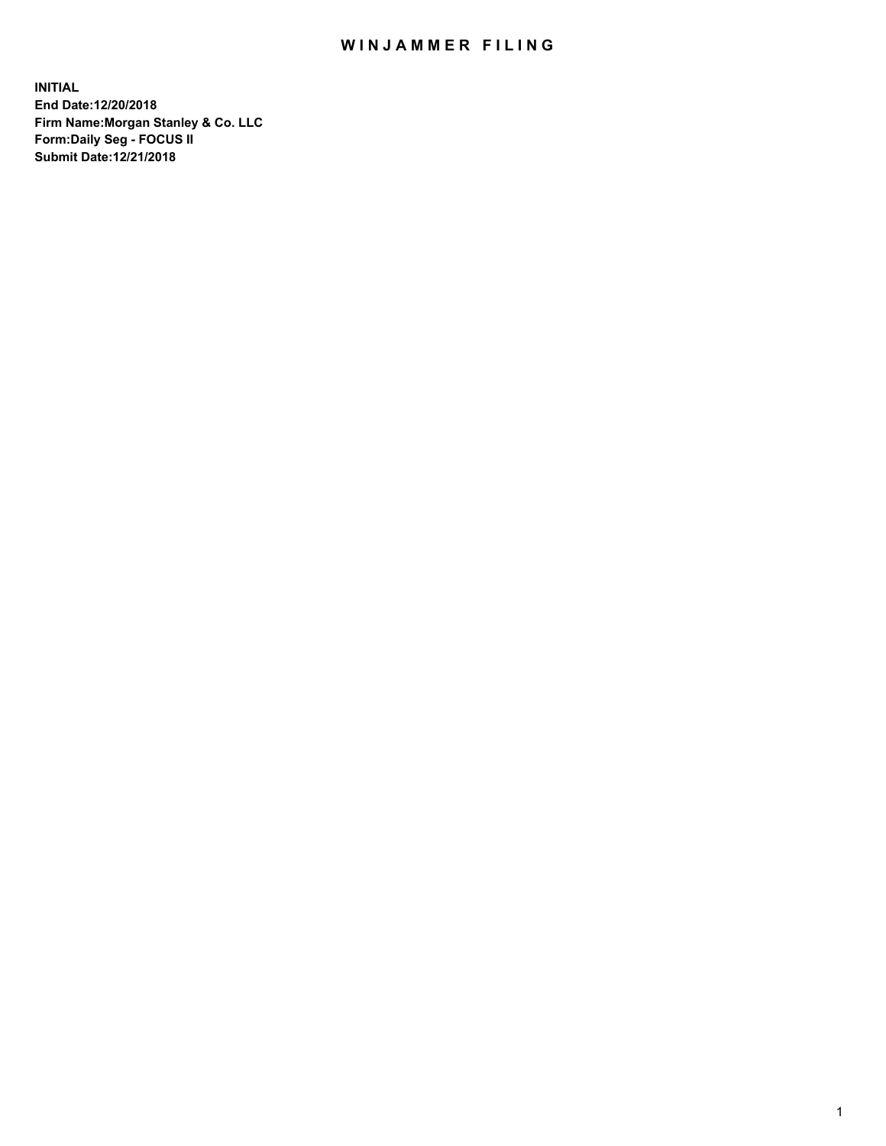## WIN JAMMER FILING

**INITIAL End Date:12/20/2018 Firm Name:Morgan Stanley & Co. LLC Form:Daily Seg - FOCUS II Submit Date:12/21/2018**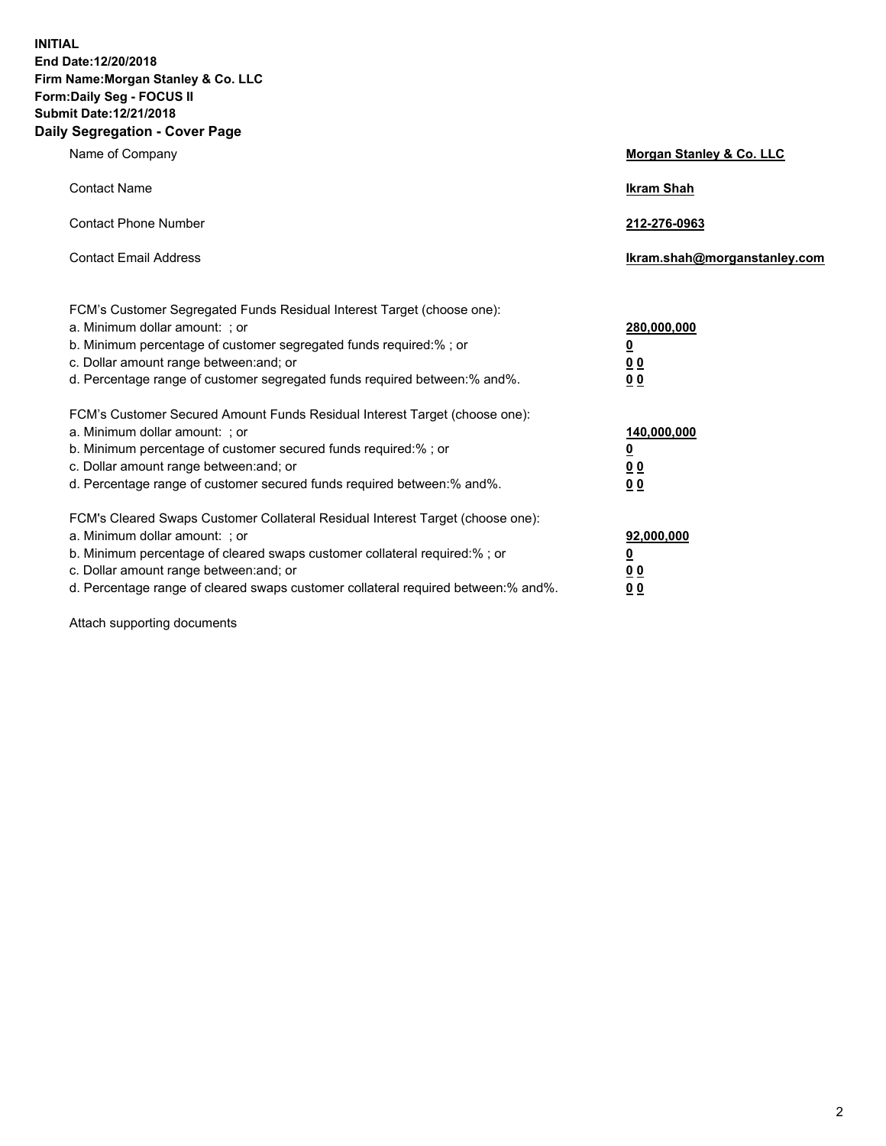**INITIAL End Date:12/20/2018 Firm Name:Morgan Stanley & Co. LLC Form:Daily Seg - FOCUS II Submit Date:12/21/2018 Daily Segregation - Cover Page**

| Name of Company                                                                                                                                                                                                                                                                                                                | Morgan Stanley & Co. LLC                               |
|--------------------------------------------------------------------------------------------------------------------------------------------------------------------------------------------------------------------------------------------------------------------------------------------------------------------------------|--------------------------------------------------------|
| <b>Contact Name</b>                                                                                                                                                                                                                                                                                                            | <b>Ikram Shah</b>                                      |
| <b>Contact Phone Number</b>                                                                                                                                                                                                                                                                                                    | 212-276-0963                                           |
| <b>Contact Email Address</b>                                                                                                                                                                                                                                                                                                   | Ikram.shah@morganstanley.com                           |
| FCM's Customer Segregated Funds Residual Interest Target (choose one):<br>a. Minimum dollar amount: ; or<br>b. Minimum percentage of customer segregated funds required:% ; or<br>c. Dollar amount range between: and; or<br>d. Percentage range of customer segregated funds required between:% and%.                         | 280,000,000<br><u>0</u><br>00<br>00                    |
| FCM's Customer Secured Amount Funds Residual Interest Target (choose one):<br>a. Minimum dollar amount: ; or<br>b. Minimum percentage of customer secured funds required:% ; or<br>c. Dollar amount range between: and; or<br>d. Percentage range of customer secured funds required between: % and %.                         | 140,000,000<br><u>0</u><br><u>00</u><br>0 <sub>0</sub> |
| FCM's Cleared Swaps Customer Collateral Residual Interest Target (choose one):<br>a. Minimum dollar amount: ; or<br>b. Minimum percentage of cleared swaps customer collateral required:% ; or<br>c. Dollar amount range between: and; or<br>d. Percentage range of cleared swaps customer collateral required between:% and%. | 92,000,000<br><u>0</u><br>0 Q<br>00                    |

Attach supporting documents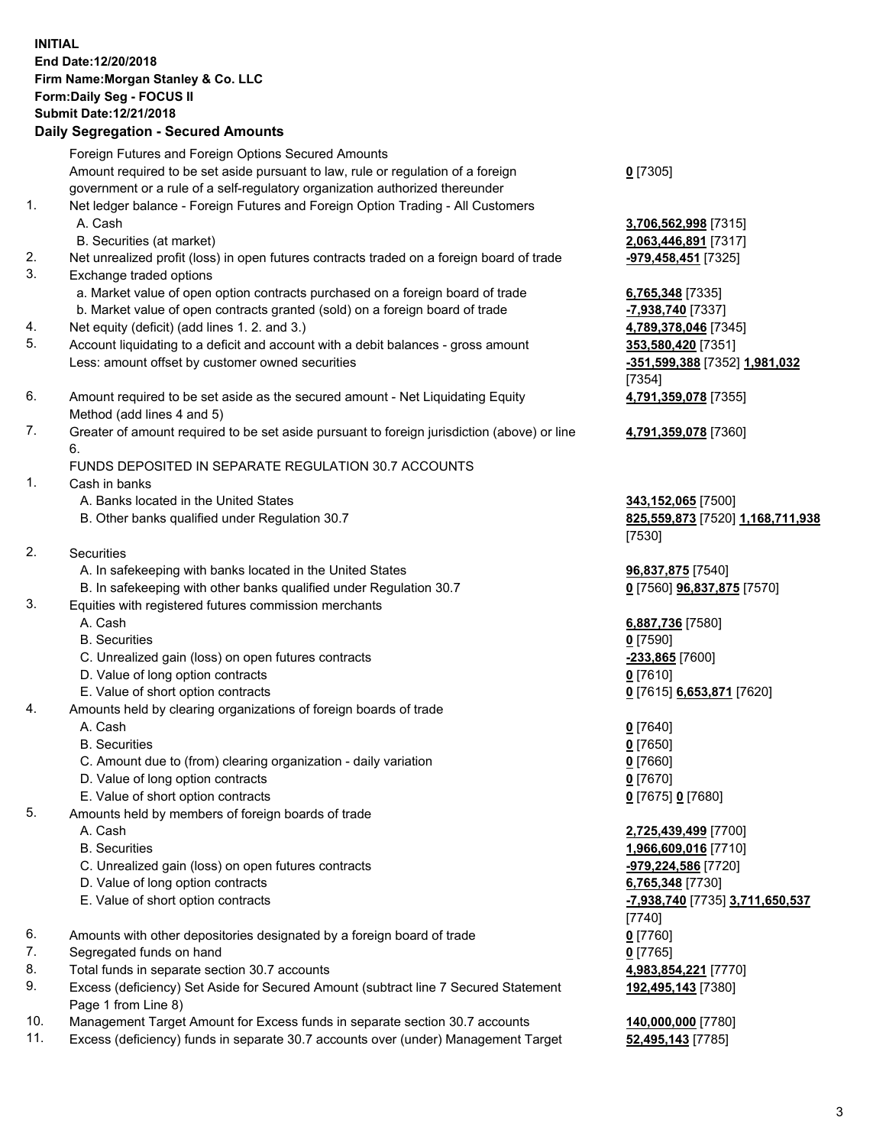## **INITIAL End Date:12/20/2018 Firm Name:Morgan Stanley & Co. LLC Form:Daily Seg - FOCUS II Submit Date:12/21/2018**

## **Daily Segregation - Secured Amounts**

Foreign Futures and Foreign Options Secured Amounts Amount required to be set aside pursuant to law, rule or regulation of a foreign government or a rule of a self-regulatory organization authorized thereunder 1. Net ledger balance - Foreign Futures and Foreign Option Trading - All Customers A. Cash **3,706,562,998** [7315] B. Securities (at market) **2,063,446,891** [7317]

- 
- 2. Net unrealized profit (loss) in open futures contracts traded on a foreign board of trade **-979,458,451** [7325]
- 3. Exchange traded options
	- a. Market value of open option contracts purchased on a foreign board of trade **6,765,348** [7335]
	- b. Market value of open contracts granted (sold) on a foreign board of trade **-7,938,740** [7337]
- 4. Net equity (deficit) (add lines 1. 2. and 3.) **4,789,378,046** [7345]
- 5. Account liquidating to a deficit and account with a debit balances gross amount **353,580,420** [7351] Less: amount offset by customer owned securities **-351,599,388** [7352] **1,981,032**
- 6. Amount required to be set aside as the secured amount Net Liquidating Equity Method (add lines 4 and 5)
- 7. Greater of amount required to be set aside pursuant to foreign jurisdiction (above) or line 6.

## FUNDS DEPOSITED IN SEPARATE REGULATION 30.7 ACCOUNTS

- 1. Cash in banks
	- A. Banks located in the United States **343,152,065** [7500]
	- B. Other banks qualified under Regulation 30.7 **825,559,873** [7520] **1,168,711,938**
- 2. Securities
	- A. In safekeeping with banks located in the United States **96,837,875** [7540]
	- B. In safekeeping with other banks qualified under Regulation 30.7 **0** [7560] **96,837,875** [7570]
- 3. Equities with registered futures commission merchants
	-
	- B. Securities **0** [7590]
	- C. Unrealized gain (loss) on open futures contracts **-233,865** [7600]
	- D. Value of long option contracts **0** [7610]
- E. Value of short option contracts **0** [7615] **6,653,871** [7620]
- 4. Amounts held by clearing organizations of foreign boards of trade
	- A. Cash **0** [7640]
	- B. Securities **0** [7650]
	- C. Amount due to (from) clearing organization daily variation **0** [7660]
	- D. Value of long option contracts **0** [7670]
	- E. Value of short option contracts **0** [7675] **0** [7680]
- 5. Amounts held by members of foreign boards of trade
	-
	-
	- C. Unrealized gain (loss) on open futures contracts **-979,224,586** [7720]
	- D. Value of long option contracts **6,765,348** [7730]
	- E. Value of short option contracts **-7,938,740** [7735] **3,711,650,537**
- 6. Amounts with other depositories designated by a foreign board of trade **0** [7760]
- 7. Segregated funds on hand **0** [7765]
- 8. Total funds in separate section 30.7 accounts **4,983,854,221** [7770]
- 9. Excess (deficiency) Set Aside for Secured Amount (subtract line 7 Secured Statement Page 1 from Line 8)
- 10. Management Target Amount for Excess funds in separate section 30.7 accounts **140,000,000** [7780]
- 11. Excess (deficiency) funds in separate 30.7 accounts over (under) Management Target **52,495,143** [7785]

**0** [7305]

[7354] **4,791,359,078** [7355]

**4,791,359,078** [7360]

[7530]

A. Cash **6,887,736** [7580]

 A. Cash **2,725,439,499** [7700] B. Securities **1,966,609,016** [7710] [7740] **192,495,143** [7380]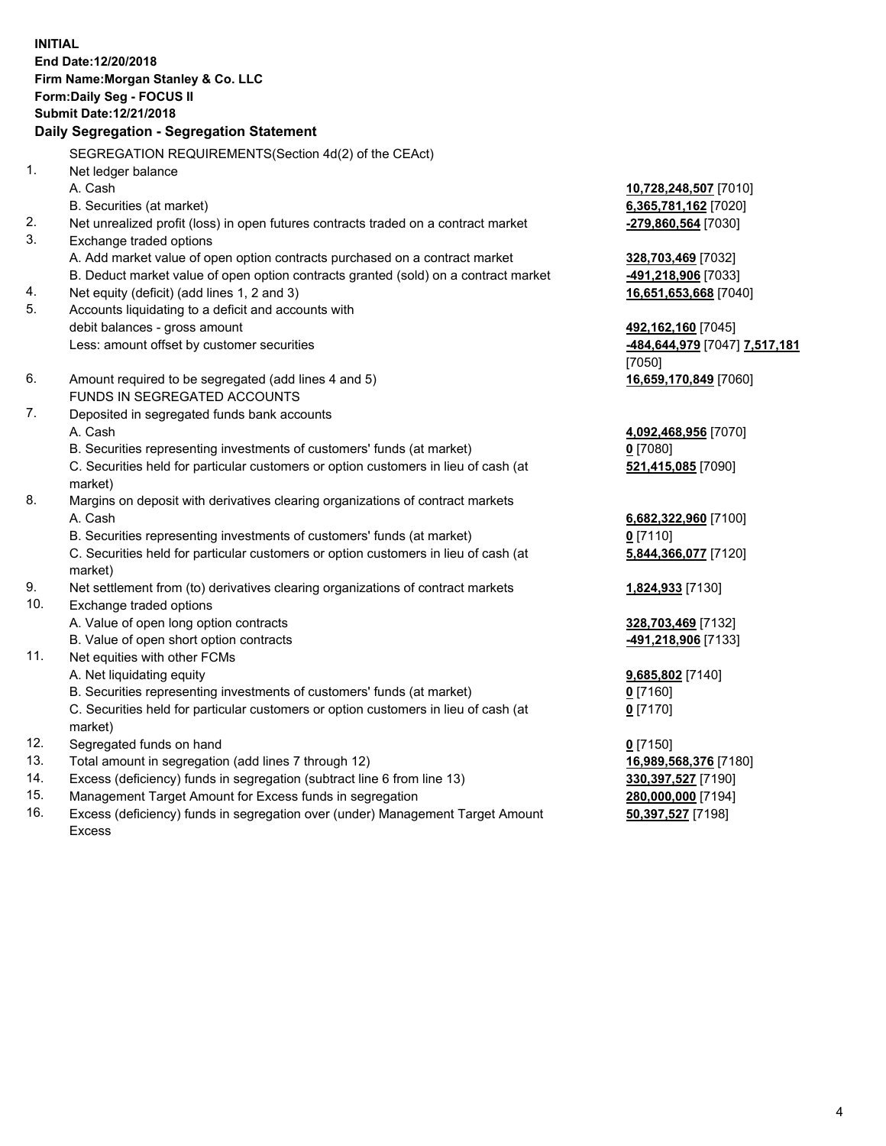**INITIAL End Date:12/20/2018 Firm Name:Morgan Stanley & Co. LLC Form:Daily Seg - FOCUS II Submit Date:12/21/2018 Daily Segregation - Segregation Statement** SEGREGATION REQUIREMENTS(Section 4d(2) of the CEAct) 1. Net ledger balance A. Cash **10,728,248,507** [7010] B. Securities (at market) **6,365,781,162** [7020] 2. Net unrealized profit (loss) in open futures contracts traded on a contract market **-279,860,564** [7030] 3. Exchange traded options A. Add market value of open option contracts purchased on a contract market **328,703,469** [7032] B. Deduct market value of open option contracts granted (sold) on a contract market **-491,218,906** [7033] 4. Net equity (deficit) (add lines 1, 2 and 3) **16,651,653,668** [7040] 5. Accounts liquidating to a deficit and accounts with debit balances - gross amount **492,162,160** [7045] Less: amount offset by customer securities **-484,644,979** [7047] **7,517,181** [7050] 6. Amount required to be segregated (add lines 4 and 5) **16,659,170,849** [7060] FUNDS IN SEGREGATED ACCOUNTS 7. Deposited in segregated funds bank accounts A. Cash **4,092,468,956** [7070] B. Securities representing investments of customers' funds (at market) **0** [7080] C. Securities held for particular customers or option customers in lieu of cash (at market) **521,415,085** [7090] 8. Margins on deposit with derivatives clearing organizations of contract markets A. Cash **6,682,322,960** [7100] B. Securities representing investments of customers' funds (at market) **0** [7110] C. Securities held for particular customers or option customers in lieu of cash (at market) **5,844,366,077** [7120] 9. Net settlement from (to) derivatives clearing organizations of contract markets **1,824,933** [7130] 10. Exchange traded options A. Value of open long option contracts **328,703,469** [7132] B. Value of open short option contracts **-491,218,906** [7133] 11. Net equities with other FCMs A. Net liquidating equity **9,685,802** [7140] B. Securities representing investments of customers' funds (at market) **0** [7160] C. Securities held for particular customers or option customers in lieu of cash (at market) **0** [7170] 12. Segregated funds on hand **0** [7150] 13. Total amount in segregation (add lines 7 through 12) **16,989,568,376** [7180] 14. Excess (deficiency) funds in segregation (subtract line 6 from line 13) **330,397,527** [7190]

- 15. Management Target Amount for Excess funds in segregation **280,000,000** [7194]
- 16. Excess (deficiency) funds in segregation over (under) Management Target Amount Excess

4

**50,397,527** [7198]